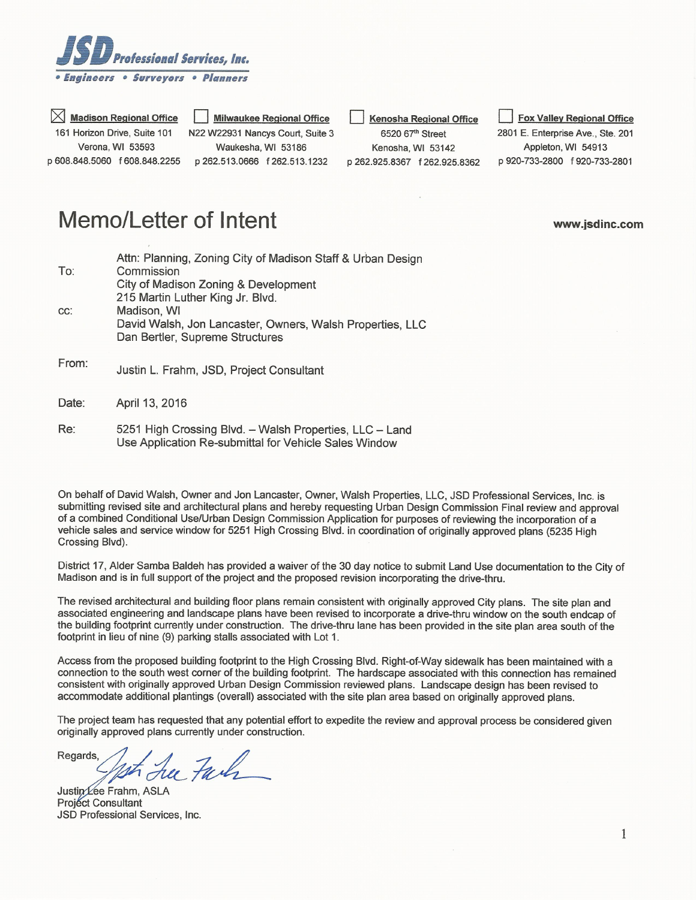

 $\times$  Madison Regional Office 161 Horizon Drive, Suite 101 Verona, WI 53593 p 608.848.5060 f 608.848.2255

**Milwaukee Regional Office** N22 W22931 Nancys Court, Suite 3 Waukesha, WI 53186 p 262.513.0666 f 262.513.1232

**Kenosha Regional Office** 

6520 67th Street Kenosha, WI 53142 p 262.925.8367 f 262.925.8362

**Fox Valley Regional Office** 2801 E. Enterprise Ave., Ste. 201 Appleton, WI 54913 p 920-733-2800 f 920-733-2801

www.jsdinc.com

## Memo/Letter of Intent

|                 | Attn: Planning, Zoning City of Madison Staff & Urban Design |
|-----------------|-------------------------------------------------------------|
| To:             | Commission                                                  |
|                 | City of Madison Zoning & Development                        |
|                 | 215 Martin Luther King Jr. Blvd.                            |
| CC.             | Madison, WI                                                 |
|                 | David Walsh, Jon Lancaster, Owners, Walsh Properties, LLC   |
|                 | Dan Bertler, Supreme Structures                             |
|                 |                                                             |
| Er <sub>m</sub> |                                                             |

- rrom: Justin L. Frahm, JSD, Project Consultant
- April 13, 2016 Date:
- Re: 5251 High Crossing Blvd. - Walsh Properties, LLC - Land Use Application Re-submittal for Vehicle Sales Window

On behalf of David Walsh, Owner and Jon Lancaster, Owner, Walsh Properties, LLC, JSD Professional Services, Inc. is submitting revised site and architectural plans and hereby requesting Urban Design Commission Final review and approval of a combined Conditional Use/Urban Design Commission Application for purposes of reviewing the incorporation of a vehicle sales and service window for 5251 High Crossing Blvd. in coordination of originally approved plans (5235 High Crossing Blvd).

District 17, Alder Samba Baldeh has provided a waiver of the 30 day notice to submit Land Use documentation to the City of Madison and is in full support of the project and the proposed revision incorporating the drive-thru.

The revised architectural and building floor plans remain consistent with originally approved City plans. The site plan and associated engineering and landscape plans have been revised to incorporate a drive-thru window on the south endcap of the building footprint currently under construction. The drive-thru lane has been provided in the site plan area south of the footprint in lieu of nine (9) parking stalls associated with Lot 1.

Access from the proposed building footprint to the High Crossing Blvd. Right-of-Way sidewalk has been maintained with a connection to the south west corner of the building footprint. The hardscape associated with this connection has remained consistent with originally approved Urban Design Commission reviewed plans. Landscape design has been revised to accommodate additional plantings (overall) associated with the site plan area based on originally approved plans.

The project team has requested that any potential effort to expedite the review and approval process be considered given originally approved plans currently under construction.

Regards, her Fach

Justin Lee Frahm, ASLA **Project Consultant** JSD Professional Services, Inc.